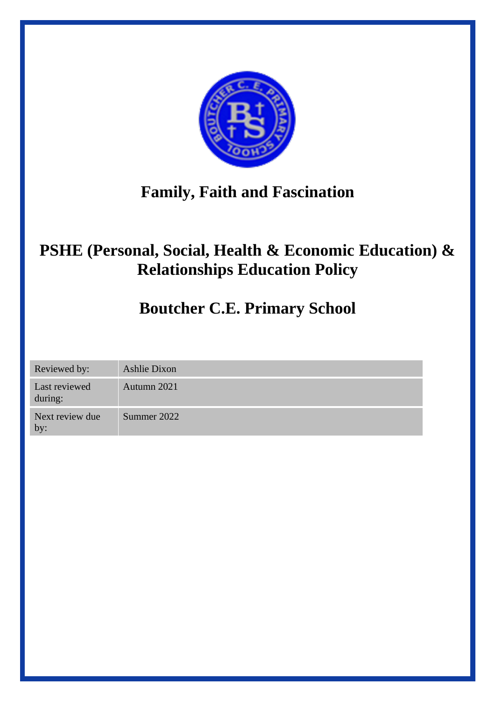

# **Family, Faith and Fascination**

# **PSHE (Personal, Social, Health & Economic Education) & Relationships Education Policy**

# **Boutcher C.E. Primary School**

Reviewed by: Ashlie Dixon

Last reviewed Autumn 2021

during: Next review due Summer 2022

by: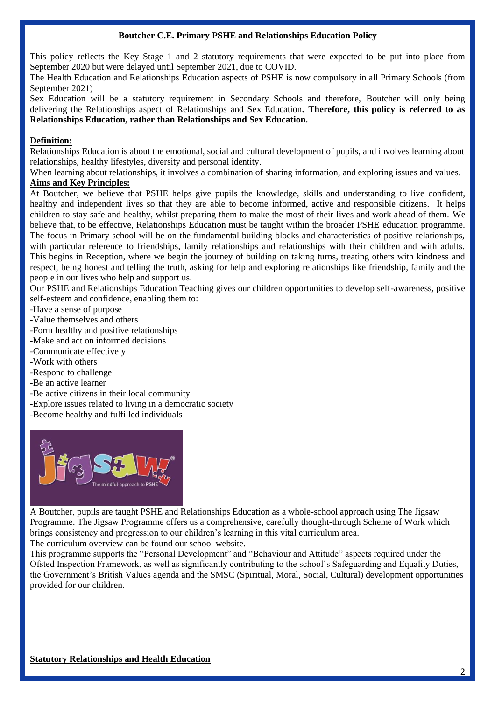#### **Boutcher C.E. Primary PSHE and Relationships Education Policy**

This policy reflects the Key Stage 1 and 2 statutory requirements that were expected to be put into place from September 2020 but were delayed until September 2021, due to COVID.

The Health Education and Relationships Education aspects of PSHE is now compulsory in all Primary Schools (from September 2021)

Sex Education will be a statutory requirement in Secondary Schools and therefore, Boutcher will only being delivering the Relationships aspect of Relationships and Sex Education**. Therefore, this policy is referred to as Relationships Education, rather than Relationships and Sex Education.**

# **Definition:**

Relationships Education is about the emotional, social and cultural development of pupils, and involves learning about relationships, healthy lifestyles, diversity and personal identity.

When learning about relationships, it involves a combination of sharing information, and exploring issues and values. **Aims and Key Principles:**

At Boutcher, we believe that PSHE helps give pupils the knowledge, skills and understanding to live confident, healthy and independent lives so that they are able to become informed, active and responsible citizens. It helps children to stay safe and healthy, whilst preparing them to make the most of their lives and work ahead of them. We believe that, to be effective, Relationships Education must be taught within the broader PSHE education programme. The focus in Primary school will be on the fundamental building blocks and characteristics of positive relationships, with particular reference to friendships, family relationships and relationships with their children and with adults. This begins in Reception, where we begin the journey of building on taking turns, treating others with kindness and respect, being honest and telling the truth, asking for help and exploring relationships like friendship, family and the people in our lives who help and support us.

Our PSHE and Relationships Education Teaching gives our children opportunities to develop self-awareness, positive self-esteem and confidence, enabling them to:

- -Have a sense of purpose
- -Value themselves and others
- -Form healthy and positive relationships
- -Make and act on informed decisions
- -Communicate effectively
- -Work with others
- -Respond to challenge
- -Be an active learner
- -Be active citizens in their local community
- -Explore issues related to living in a democratic society
- -Become healthy and fulfilled individuals



A Boutcher, pupils are taught PSHE and Relationships Education as a whole-school approach using The Jigsaw Programme. The Jigsaw Programme offers us a comprehensive, carefully thought-through Scheme of Work which brings consistency and progression to our children's learning in this vital curriculum area.

The curriculum overview can be found our school website.

This programme supports the "Personal Development" and "Behaviour and Attitude" aspects required under the Ofsted Inspection Framework, as well as significantly contributing to the school's Safeguarding and Equality Duties, the Government's British Values agenda and the SMSC (Spiritual, Moral, Social, Cultural) development opportunities provided for our children.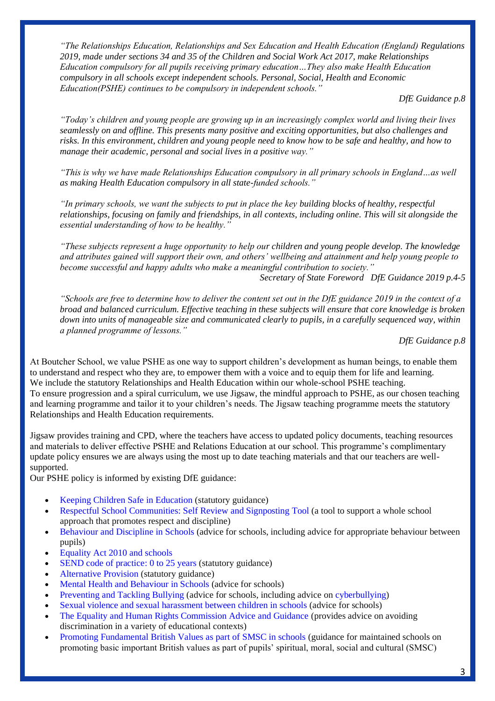*"The Relationships Education, Relationships and Sex Education and Health Education (England) Regulations 2019, made under sections 34 and 35 of the Children and Social Work Act 2017, make Relationships Education compulsory for all pupils receiving primary education…They also make Health Education compulsory in all schools except independent schools. Personal, Social, Health and Economic Education(PSHE) continues to be compulsory in independent schools."*

*DfE Guidance p.8*

*"Today's children and young people are growing up in an increasingly complex world and living their lives seamlessly on and offline. This presents many positive and exciting opportunities, but also challenges and risks. In this environment, children and young people need to know how to be safe and healthy, and how to manage their academic, personal and social lives in a positive way."*

*"This is why we have made Relationships Education compulsory in all primary schools in England…as well as making Health Education compulsory in all state-funded schools."*

*"In primary schools, we want the subjects to put in place the key building blocks of healthy, respectful relationships, focusing on family and friendships, in all contexts, including online. This will sit alongside the essential understanding of how to be healthy."*

*"These subjects represent a huge opportunity to help our children and young people develop. The knowledge and attributes gained will support their own, and others' wellbeing and attainment and help young people to become successful and happy adults who make a meaningful contribution to society."*

*Secretary of State Foreword DfE Guidance 2019 p.4-5*

*"Schools are free to determine how to deliver the content set out in the DfE guidance 2019 in the context of a broad and balanced curriculum. Effective teaching in these subjects will ensure that core knowledge is broken down into units of manageable size and communicated clearly to pupils, in a carefully sequenced way, within a planned programme of lessons."*

*DfE Guidance p.8*

At Boutcher School, we value PSHE as one way to support children's development as human beings, to enable them to understand and respect who they are, to empower them with a voice and to equip them for life and learning. We include the statutory Relationships and Health Education within our whole-school PSHE teaching. To ensure progression and a spiral curriculum, we use Jigsaw, the mindful approach to PSHE, as our chosen teaching and learning programme and tailor it to your children's needs. The Jigsaw teaching programme meets the statutory Relationships and Health Education requirements.

Jigsaw provides training and CPD, where the teachers have access to updated policy documents, teaching resources and materials to deliver effective PSHE and Relations Education at our school. This programme's complimentary update policy ensures we are always using the most up to date teaching materials and that our teachers are wellsupported.

Our PSHE policy is informed by existing DfE guidance:

- Keeping Children Safe in Education (statutory guidance)
- Respectful School Communities: Self Review and Signposting Tool (a tool to support a whole school approach that promotes respect and discipline)
- Behaviour and Discipline in Schools (advice for schools, including advice for appropriate behaviour between pupils)
- Equality Act 2010 and schools
- SEND code of practice: 0 to 25 years (statutory guidance)
- Alternative Provision (statutory guidance)
- Mental Health and Behaviour in Schools (advice for schools)
- Preventing and Tackling Bullying (advice for schools, including advice on cyberbullying)
- Sexual violence and sexual harassment between children in schools (advice for schools)
- The Equality and Human Rights Commission Advice and Guidance (provides advice on avoiding discrimination in a variety of educational contexts)
- Promoting Fundamental British Values as part of SMSC in schools (guidance for maintained schools on promoting basic important British values as part of pupils' spiritual, moral, social and cultural (SMSC)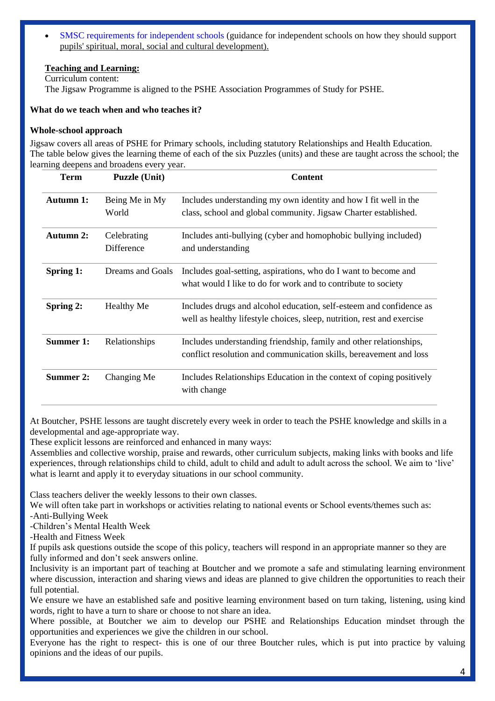• SMSC requirements for independent schools (guidance for independent schools on how they should support pupils' spiritual, moral, social and cultural development).

# **Teaching and Learning:**

Curriculum content: The Jigsaw Programme is aligned to the PSHE Association Programmes of Study for PSHE.

#### **What do we teach when and who teaches it?**

#### **Whole-school approach**

Jigsaw covers all areas of PSHE for Primary schools, including statutory Relationships and Health Education. The table below gives the learning theme of each of the six Puzzles (units) and these are taught across the school; the learning deepens and broadens every year.

| <b>Term</b> | <b>Puzzle (Unit)</b>      | <b>Content</b>                                                                                                                                |
|-------------|---------------------------|-----------------------------------------------------------------------------------------------------------------------------------------------|
| Autumn 1:   | Being Me in My<br>World   | Includes understanding my own identity and how I fit well in the<br>class, school and global community. Jigsaw Charter established.           |
| Autumn 2:   | Celebrating<br>Difference | Includes anti-bullying (cyber and homophobic bullying included)<br>and understanding                                                          |
| Spring 1:   | Dreams and Goals          | Includes goal-setting, aspirations, who do I want to become and<br>what would I like to do for work and to contribute to society              |
| Spring 2:   | <b>Healthy Me</b>         | Includes drugs and alcohol education, self-esteem and confidence as<br>well as healthy lifestyle choices, sleep, nutrition, rest and exercise |
| Summer 1:   | Relationships             | Includes understanding friendship, family and other relationships,<br>conflict resolution and communication skills, bereavement and loss      |
| Summer 2:   | Changing Me               | Includes Relationships Education in the context of coping positively<br>with change                                                           |

At Boutcher, PSHE lessons are taught discretely every week in order to teach the PSHE knowledge and skills in a developmental and age-appropriate way.

These explicit lessons are reinforced and enhanced in many ways:

Assemblies and collective worship, praise and rewards, other curriculum subjects, making links with books and life experiences, through relationships child to child, adult to child and adult to adult across the school. We aim to 'live' what is learnt and apply it to everyday situations in our school community.

Class teachers deliver the weekly lessons to their own classes.

We will often take part in workshops or activities relating to national events or School events/themes such as: -Anti-Bullying Week

-Children's Mental Health Week

-Health and Fitness Week

If pupils ask questions outside the scope of this policy, teachers will respond in an appropriate manner so they are fully informed and don't seek answers online.

Inclusivity is an important part of teaching at Boutcher and we promote a safe and stimulating learning environment where discussion, interaction and sharing views and ideas are planned to give children the opportunities to reach their full potential.

We ensure we have an established safe and positive learning environment based on turn taking, listening, using kind words, right to have a turn to share or choose to not share an idea.

Where possible, at Boutcher we aim to develop our PSHE and Relationships Education mindset through the opportunities and experiences we give the children in our school.

Everyone has the right to respect- this is one of our three Boutcher rules, which is put into practice by valuing opinions and the ideas of our pupils.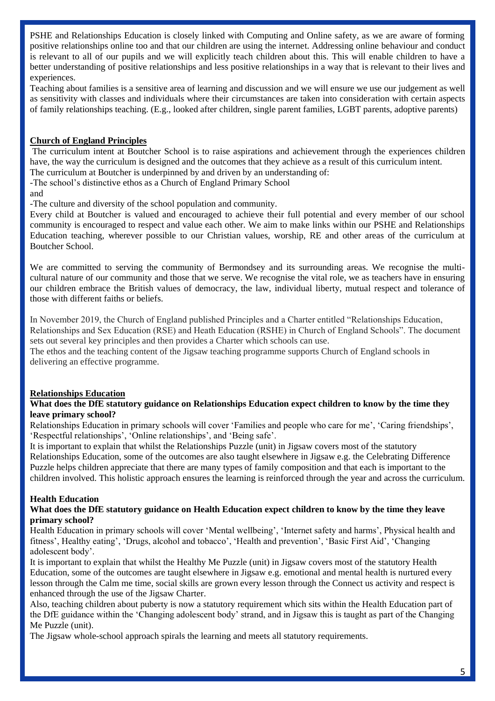PSHE and Relationships Education is closely linked with Computing and Online safety, as we are aware of forming positive relationships online too and that our children are using the internet. Addressing online behaviour and conduct is relevant to all of our pupils and we will explicitly teach children about this. This will enable children to have a better understanding of positive relationships and less positive relationships in a way that is relevant to their lives and experiences.

Teaching about families is a sensitive area of learning and discussion and we will ensure we use our judgement as well as sensitivity with classes and individuals where their circumstances are taken into consideration with certain aspects of family relationships teaching. (E.g., looked after children, single parent families, LGBT parents, adoptive parents)

# **Church of England Principles**

The curriculum intent at Boutcher School is to raise aspirations and achievement through the experiences children have, the way the curriculum is designed and the outcomes that they achieve as a result of this curriculum intent. The curriculum at Boutcher is underpinned by and driven by an understanding of:

-The school's distinctive ethos as a Church of England Primary School

and

-The culture and diversity of the school population and community.

Every child at Boutcher is valued and encouraged to achieve their full potential and every member of our school community is encouraged to respect and value each other. We aim to make links within our PSHE and Relationships Education teaching, wherever possible to our Christian values, worship, RE and other areas of the curriculum at Boutcher School.

We are committed to serving the community of Bermondsey and its surrounding areas. We recognise the multicultural nature of our community and those that we serve. We recognise the vital role, we as teachers have in ensuring our children embrace the British values of democracy, the law, individual liberty, mutual respect and tolerance of those with different faiths or beliefs.

In November 2019, the Church of England published Principles and a Charter entitled "Relationships Education, Relationships and Sex Education (RSE) and Heath Education (RSHE) in Church of England Schools". The document sets out several key principles and then provides a Charter which schools can use.

The ethos and the teaching content of the Jigsaw teaching programme supports Church of England schools in delivering an effective programme.

# **Relationships Education**

# **What does the DfE statutory guidance on Relationships Education expect children to know by the time they leave primary school?**

Relationships Education in primary schools will cover 'Families and people who care for me', 'Caring friendships', 'Respectful relationships', 'Online relationships', and 'Being safe'.

It is important to explain that whilst the Relationships Puzzle (unit) in Jigsaw covers most of the statutory Relationships Education, some of the outcomes are also taught elsewhere in Jigsaw e.g. the Celebrating Difference Puzzle helps children appreciate that there are many types of family composition and that each is important to the children involved. This holistic approach ensures the learning is reinforced through the year and across the curriculum.

# **Health Education**

# **What does the DfE statutory guidance on Health Education expect children to know by the time they leave primary school?**

Health Education in primary schools will cover 'Mental wellbeing', 'Internet safety and harms', Physical health and fitness', Healthy eating', 'Drugs, alcohol and tobacco', 'Health and prevention', 'Basic First Aid', 'Changing adolescent body'.

It is important to explain that whilst the Healthy Me Puzzle (unit) in Jigsaw covers most of the statutory Health Education, some of the outcomes are taught elsewhere in Jigsaw e.g. emotional and mental health is nurtured every lesson through the Calm me time, social skills are grown every lesson through the Connect us activity and respect is enhanced through the use of the Jigsaw Charter.

Also, teaching children about puberty is now a statutory requirement which sits within the Health Education part of the DfE guidance within the 'Changing adolescent body' strand, and in Jigsaw this is taught as part of the Changing Me Puzzle (unit).

The Jigsaw whole-school approach spirals the learning and meets all statutory requirements.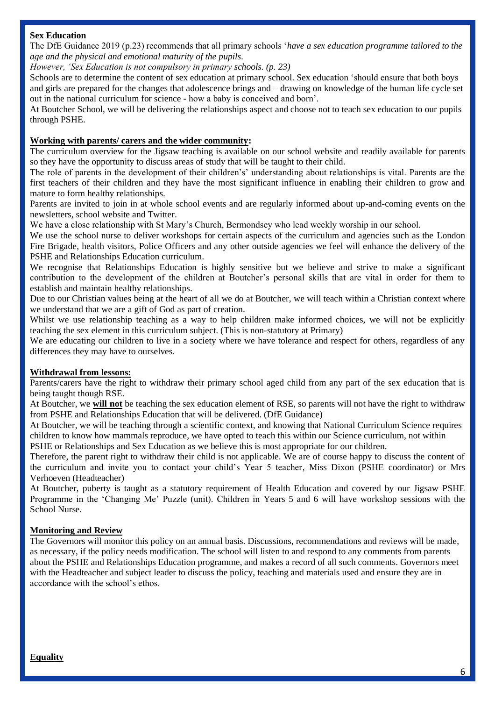### **Sex Education**

The DfE Guidance 2019 (p.23) recommends that all primary schools '*have a sex education programme tailored to the age and the physical and emotional maturity of the pupils.* 

*However, 'Sex Education is not compulsory in primary schools. (p. 23)*

Schools are to determine the content of sex education at primary school. Sex education 'should ensure that both boys and girls are prepared for the changes that adolescence brings and – drawing on knowledge of the human life cycle set out in the national curriculum for science - how a baby is conceived and born'.

At Boutcher School, we will be delivering the relationships aspect and choose not to teach sex education to our pupils through PSHE.

#### **Working with parents/ carers and the wider community:**

The curriculum overview for the Jigsaw teaching is available on our school website and readily available for parents so they have the opportunity to discuss areas of study that will be taught to their child.

The role of parents in the development of their children's' understanding about relationships is vital. Parents are the first teachers of their children and they have the most significant influence in enabling their children to grow and mature to form healthy relationships.

Parents are invited to join in at whole school events and are regularly informed about up-and-coming events on the newsletters, school website and Twitter.

We have a close relationship with St Mary's Church, Bermondsey who lead weekly worship in our school.

We use the school nurse to deliver workshops for certain aspects of the curriculum and agencies such as the London Fire Brigade, health visitors, Police Officers and any other outside agencies we feel will enhance the delivery of the PSHE and Relationships Education curriculum.

We recognise that Relationships Education is highly sensitive but we believe and strive to make a significant contribution to the development of the children at Boutcher's personal skills that are vital in order for them to establish and maintain healthy relationships.

Due to our Christian values being at the heart of all we do at Boutcher, we will teach within a Christian context where we understand that we are a gift of God as part of creation.

Whilst we use relationship teaching as a way to help children make informed choices, we will not be explicitly teaching the sex element in this curriculum subject. (This is non-statutory at Primary)

We are educating our children to live in a society where we have tolerance and respect for others, regardless of any differences they may have to ourselves.

#### **Withdrawal from lessons:**

Parents/carers have the right to withdraw their primary school aged child from any part of the sex education that is being taught though RSE.

At Boutcher, we **will not** be teaching the sex education element of RSE, so parents will not have the right to withdraw from PSHE and Relationships Education that will be delivered. (DfE Guidance)

At Boutcher, we will be teaching through a scientific context, and knowing that National Curriculum Science requires children to know how mammals reproduce, we have opted to teach this within our Science curriculum, not within PSHE or Relationships and Sex Education as we believe this is most appropriate for our children.

Therefore, the parent right to withdraw their child is not applicable. We are of course happy to discuss the content of the curriculum and invite you to contact your child's Year 5 teacher, Miss Dixon (PSHE coordinator) or Mrs Verhoeven (Headteacher)

At Boutcher, puberty is taught as a statutory requirement of Health Education and covered by our Jigsaw PSHE Programme in the 'Changing Me' Puzzle (unit). Children in Years 5 and 6 will have workshop sessions with the School Nurse.

#### **Monitoring and Review**

The Governors will monitor this policy on an annual basis. Discussions, recommendations and reviews will be made, as necessary, if the policy needs modification. The school will listen to and respond to any comments from parents about the PSHE and Relationships Education programme, and makes a record of all such comments. Governors meet with the Headteacher and subject leader to discuss the policy, teaching and materials used and ensure they are in accordance with the school's ethos.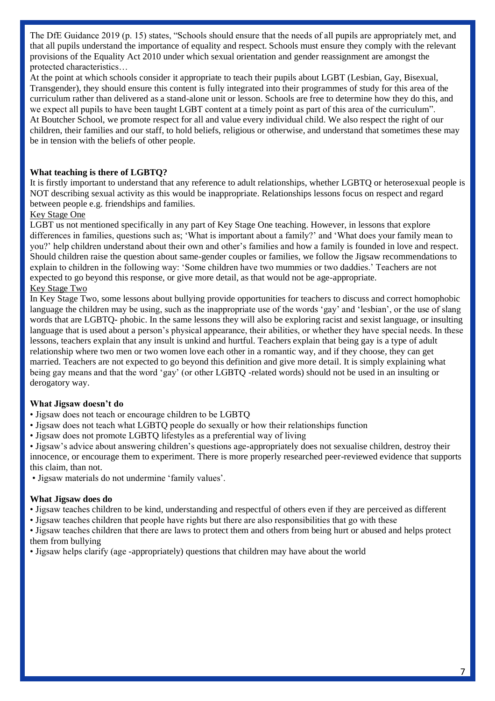The DfE Guidance 2019 (p. 15) states, "Schools should ensure that the needs of all pupils are appropriately met, and that all pupils understand the importance of equality and respect. Schools must ensure they comply with the relevant provisions of the Equality Act 2010 under which sexual orientation and gender reassignment are amongst the protected characteristics…

At the point at which schools consider it appropriate to teach their pupils about LGBT (Lesbian, Gay, Bisexual, Transgender), they should ensure this content is fully integrated into their programmes of study for this area of the curriculum rather than delivered as a stand-alone unit or lesson. Schools are free to determine how they do this, and we expect all pupils to have been taught LGBT content at a timely point as part of this area of the curriculum". At Boutcher School, we promote respect for all and value every individual child. We also respect the right of our children, their families and our staff, to hold beliefs, religious or otherwise, and understand that sometimes these may be in tension with the beliefs of other people.

# **What teaching is there of LGBTQ?**

It is firstly important to understand that any reference to adult relationships, whether LGBTQ or heterosexual people is NOT describing sexual activity as this would be inappropriate. Relationships lessons focus on respect and regard between people e.g. friendships and families.

# Key Stage One

LGBT us not mentioned specifically in any part of Key Stage One teaching. However, in lessons that explore differences in families, questions such as; 'What is important about a family?' and 'What does your family mean to you?' help children understand about their own and other's families and how a family is founded in love and respect. Should children raise the question about same-gender couples or families, we follow the Jigsaw recommendations to explain to children in the following way: 'Some children have two mummies or two daddies.' Teachers are not expected to go beyond this response, or give more detail, as that would not be age-appropriate. Key Stage Two

In Key Stage Two, some lessons about bullying provide opportunities for teachers to discuss and correct homophobic language the children may be using, such as the inappropriate use of the words 'gay' and 'lesbian', or the use of slang words that are LGBTQ- phobic. In the same lessons they will also be exploring racist and sexist language, or insulting language that is used about a person's physical appearance, their abilities, or whether they have special needs. In these lessons, teachers explain that any insult is unkind and hurtful. Teachers explain that being gay is a type of adult relationship where two men or two women love each other in a romantic way, and if they choose, they can get married. Teachers are not expected to go beyond this definition and give more detail. It is simply explaining what being gay means and that the word 'gay' (or other LGBTQ -related words) should not be used in an insulting or derogatory way.

#### **What Jigsaw doesn't do**

- Jigsaw does not teach or encourage children to be LGBTQ
- Jigsaw does not teach what LGBTQ people do sexually or how their relationships function
- Jigsaw does not promote LGBTQ lifestyles as a preferential way of living
- Jigsaw's advice about answering children's questions age-appropriately does not sexualise children, destroy their innocence, or encourage them to experiment. There is more properly researched peer-reviewed evidence that supports this claim, than not.
- Jigsaw materials do not undermine 'family values'.

#### **What Jigsaw does do**

- Jigsaw teaches children to be kind, understanding and respectful of others even if they are perceived as different
- Jigsaw teaches children that people have rights but there are also responsibilities that go with these
- Jigsaw teaches children that there are laws to protect them and others from being hurt or abused and helps protect them from bullying

• Jigsaw helps clarify (age -appropriately) questions that children may have about the world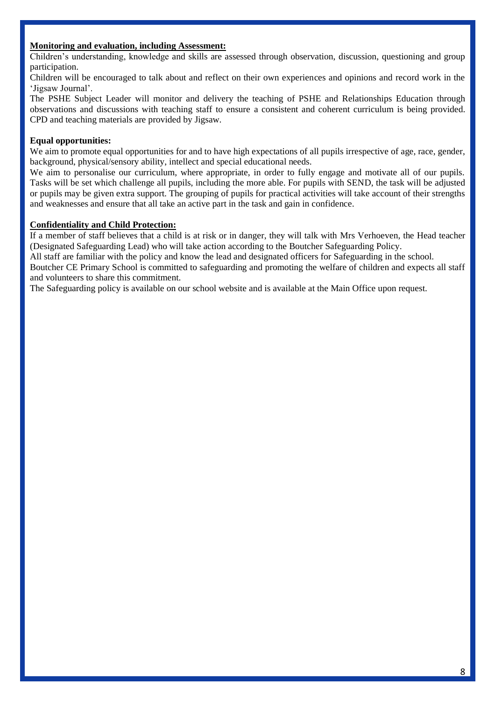# **Monitoring and evaluation, including Assessment:**

Children's understanding, knowledge and skills are assessed through observation, discussion, questioning and group participation.

Children will be encouraged to talk about and reflect on their own experiences and opinions and record work in the 'Jigsaw Journal'.

The PSHE Subject Leader will monitor and delivery the teaching of PSHE and Relationships Education through observations and discussions with teaching staff to ensure a consistent and coherent curriculum is being provided. CPD and teaching materials are provided by Jigsaw.

# **Equal opportunities:**

We aim to promote equal opportunities for and to have high expectations of all pupils irrespective of age, race, gender, background, physical/sensory ability, intellect and special educational needs.

We aim to personalise our curriculum, where appropriate, in order to fully engage and motivate all of our pupils. Tasks will be set which challenge all pupils, including the more able. For pupils with SEND, the task will be adjusted or pupils may be given extra support. The grouping of pupils for practical activities will take account of their strengths and weaknesses and ensure that all take an active part in the task and gain in confidence.

# **Confidentiality and Child Protection:**

If a member of staff believes that a child is at risk or in danger, they will talk with Mrs Verhoeven, the Head teacher (Designated Safeguarding Lead) who will take action according to the Boutcher Safeguarding Policy.

All staff are familiar with the policy and know the lead and designated officers for Safeguarding in the school.

Boutcher CE Primary School is committed to safeguarding and promoting the welfare of children and expects all staff and volunteers to share this commitment.

The Safeguarding policy is available on our school website and is available at the Main Office upon request.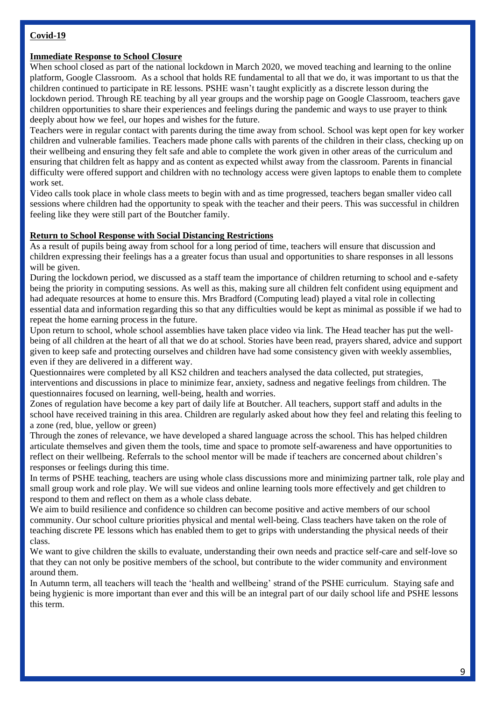# **Covid-19**

### **Immediate Response to School Closure**

When school closed as part of the national lockdown in March 2020, we moved teaching and learning to the online platform, Google Classroom. As a school that holds RE fundamental to all that we do, it was important to us that the children continued to participate in RE lessons. PSHE wasn't taught explicitly as a discrete lesson during the lockdown period. Through RE teaching by all year groups and the worship page on Google Classroom, teachers gave children opportunities to share their experiences and feelings during the pandemic and ways to use prayer to think deeply about how we feel, our hopes and wishes for the future.

Teachers were in regular contact with parents during the time away from school. School was kept open for key worker children and vulnerable families. Teachers made phone calls with parents of the children in their class, checking up on their wellbeing and ensuring they felt safe and able to complete the work given in other areas of the curriculum and ensuring that children felt as happy and as content as expected whilst away from the classroom. Parents in financial difficulty were offered support and children with no technology access were given laptops to enable them to complete work set.

Video calls took place in whole class meets to begin with and as time progressed, teachers began smaller video call sessions where children had the opportunity to speak with the teacher and their peers. This was successful in children feeling like they were still part of the Boutcher family.

#### **Return to School Response with Social Distancing Restrictions**

As a result of pupils being away from school for a long period of time, teachers will ensure that discussion and children expressing their feelings has a a greater focus than usual and opportunities to share responses in all lessons will be given.

During the lockdown period, we discussed as a staff team the importance of children returning to school and e-safety being the priority in computing sessions. As well as this, making sure all children felt confident using equipment and had adequate resources at home to ensure this. Mrs Bradford (Computing lead) played a vital role in collecting essential data and information regarding this so that any difficulties would be kept as minimal as possible if we had to repeat the home earning process in the future.

Upon return to school, whole school assemblies have taken place video via link. The Head teacher has put the wellbeing of all children at the heart of all that we do at school. Stories have been read, prayers shared, advice and support given to keep safe and protecting ourselves and children have had some consistency given with weekly assemblies, even if they are delivered in a different way.

Questionnaires were completed by all KS2 children and teachers analysed the data collected, put strategies, interventions and discussions in place to minimize fear, anxiety, sadness and negative feelings from children. The questionnaires focused on learning, well-being, health and worries.

Zones of regulation have become a key part of daily life at Boutcher. All teachers, support staff and adults in the school have received training in this area. Children are regularly asked about how they feel and relating this feeling to a zone (red, blue, yellow or green)

Through the zones of relevance, we have developed a shared language across the school. This has helped children articulate themselves and given them the tools, time and space to promote self-awareness and have opportunities to reflect on their wellbeing. Referrals to the school mentor will be made if teachers are concerned about children's responses or feelings during this time.

In terms of PSHE teaching, teachers are using whole class discussions more and minimizing partner talk, role play and small group work and role play. We will sue videos and online learning tools more effectively and get children to respond to them and reflect on them as a whole class debate.

We aim to build resilience and confidence so children can become positive and active members of our school community. Our school culture priorities physical and mental well-being. Class teachers have taken on the role of teaching discrete PE lessons which has enabled them to get to grips with understanding the physical needs of their class.

We want to give children the skills to evaluate, understanding their own needs and practice self-care and self-love so that they can not only be positive members of the school, but contribute to the wider community and environment around them.

In Autumn term, all teachers will teach the 'health and wellbeing' strand of the PSHE curriculum. Staying safe and being hygienic is more important than ever and this will be an integral part of our daily school life and PSHE lessons this term.